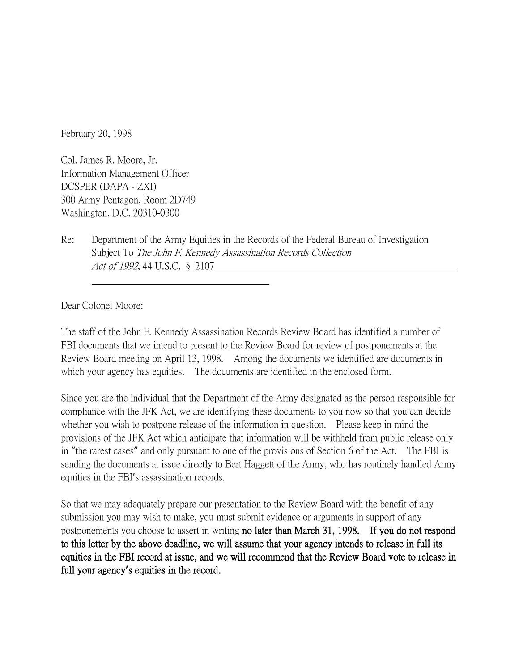February 20, 1998

Col. James R. Moore, Jr. Information Management Officer DCSPER (DAPA - ZXI) 300 Army Pentagon, Room 2D749 Washington, D.C. 20310-0300

Re: Department of the Army Equities in the Records of the Federal Bureau of Investigation Subject To The John F. Kennedy Assassination Records Collection Act of 1992, 44 U.S.C. § 2107

Dear Colonel Moore:

The staff of the John F. Kennedy Assassination Records Review Board has identified a number of FBI documents that we intend to present to the Review Board for review of postponements at the Review Board meeting on April 13, 1998. Among the documents we identified are documents in which your agency has equities. The documents are identified in the enclosed form.

Since you are the individual that the Department of the Army designated as the person responsible for compliance with the JFK Act, we are identifying these documents to you now so that you can decide whether you wish to postpone release of the information in question. Please keep in mind the provisions of the JFK Act which anticipate that information will be withheld from public release only in "the rarest cases" and only pursuant to one of the provisions of Section 6 of the Act. The FBI is sending the documents at issue directly to Bert Haggett of the Army, who has routinely handled Army equities in the FBI's assassination records.

So that we may adequately prepare our presentation to the Review Board with the benefit of any submission you may wish to make, you must submit evidence or arguments in support of any postponements you choose to assert in writing no later than March 31, 1998. If you do not respond to this letter by the above deadline, we will assume that your agency intends to release in full its equities in the FBI record at issue, and we will recommend that the Review Board vote to release in full your agency**'**s equities in the record.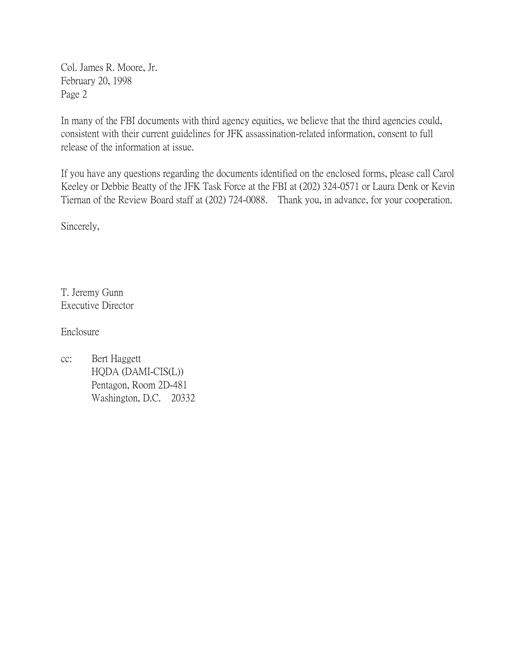Col. James R. Moore, Jr. February 20, 1998 Page 2

In many of the FBI documents with third agency equities, we believe that the third agencies could, consistent with their current guidelines for JFK assassination-related information, consent to full release of the information at issue.

If you have any questions regarding the documents identified on the enclosed forms, please call Carol Keeley or Debbie Beatty of the JFK Task Force at the FBI at (202) 324-0571 or Laura Denk or Kevin Tiernan of the Review Board staff at (202) 724-0088. Thank you, in advance, for your cooperation.

Sincerely,

T. Jeremy Gunn Executive Director

Enclosure

cc: Bert Haggett HQDA (DAMI-CIS(L)) Pentagon, Room 2D-481 Washington, D.C. 20332